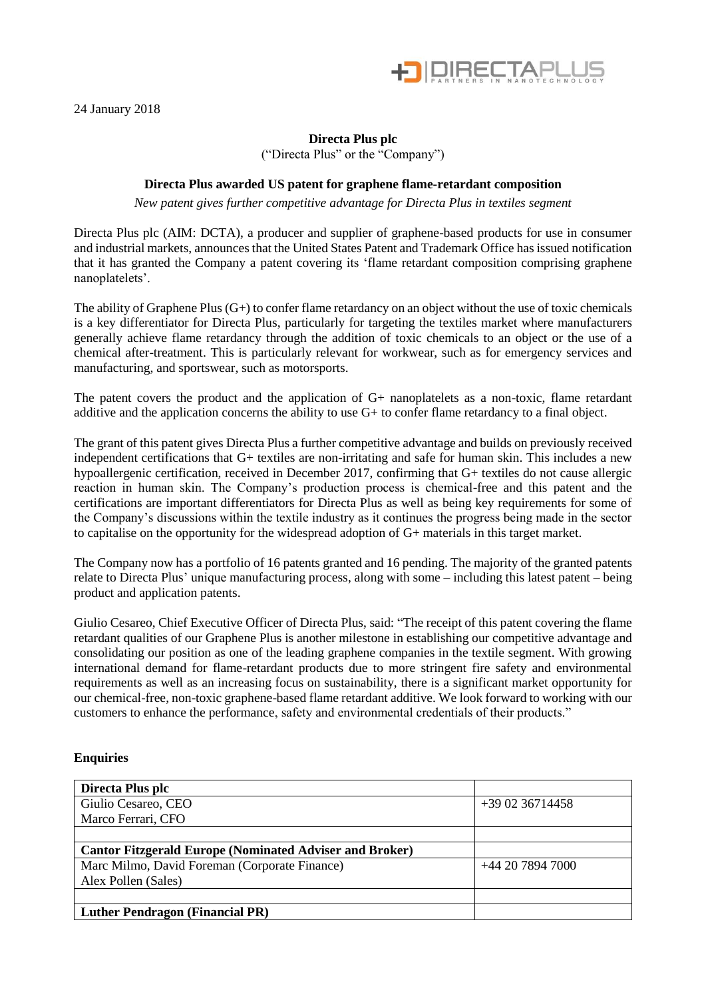

24 January 2018

## **Directa Plus plc**

("Directa Plus" or the "Company")

## **Directa Plus awarded US patent for graphene flame-retardant composition**

*New patent gives further competitive advantage for Directa Plus in textiles segment* 

Directa Plus plc (AIM: DCTA), a producer and supplier of graphene-based products for use in consumer and industrial markets, announces that the United States Patent and Trademark Office has issued notification that it has granted the Company a patent covering its 'flame retardant composition comprising graphene nanoplatelets'.

The ability of Graphene Plus  $(G+)$  to confer flame retardancy on an object without the use of toxic chemicals is a key differentiator for Directa Plus, particularly for targeting the textiles market where manufacturers generally achieve flame retardancy through the addition of toxic chemicals to an object or the use of a chemical after-treatment. This is particularly relevant for workwear, such as for emergency services and manufacturing, and sportswear, such as motorsports.

The patent covers the product and the application of G+ nanoplatelets as a non-toxic, flame retardant additive and the application concerns the ability to use G+ to confer flame retardancy to a final object.

The grant of this patent gives Directa Plus a further competitive advantage and builds on previously received independent certifications that G+ textiles are non-irritating and safe for human skin. This includes a new hypoallergenic certification, received in December 2017, confirming that G+ textiles do not cause allergic reaction in human skin. The Company's production process is chemical-free and this patent and the certifications are important differentiators for Directa Plus as well as being key requirements for some of the Company's discussions within the textile industry as it continues the progress being made in the sector to capitalise on the opportunity for the widespread adoption of G+ materials in this target market.

The Company now has a portfolio of 16 patents granted and 16 pending. The majority of the granted patents relate to Directa Plus' unique manufacturing process, along with some – including this latest patent – being product and application patents.

Giulio Cesareo, Chief Executive Officer of Directa Plus, said: "The receipt of this patent covering the flame retardant qualities of our Graphene Plus is another milestone in establishing our competitive advantage and consolidating our position as one of the leading graphene companies in the textile segment. With growing international demand for flame-retardant products due to more stringent fire safety and environmental requirements as well as an increasing focus on sustainability, there is a significant market opportunity for our chemical-free, non-toxic graphene-based flame retardant additive. We look forward to working with our customers to enhance the performance, safety and environmental credentials of their products."

## **Enquiries**

| Directa Plus plc                                               |                  |
|----------------------------------------------------------------|------------------|
| Giulio Cesareo, CEO                                            | $+390236714458$  |
| Marco Ferrari, CFO                                             |                  |
|                                                                |                  |
| <b>Cantor Fitzgerald Europe (Nominated Adviser and Broker)</b> |                  |
| Marc Milmo, David Foreman (Corporate Finance)                  | +44 20 7894 7000 |
| Alex Pollen (Sales)                                            |                  |
|                                                                |                  |
| <b>Luther Pendragon (Financial PR)</b>                         |                  |